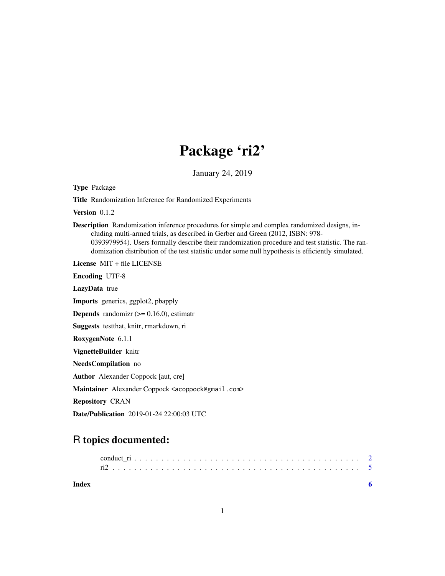## Package 'ri2'

January 24, 2019

<span id="page-0-0"></span>Type Package

Title Randomization Inference for Randomized Experiments

Version 0.1.2

Description Randomization inference procedures for simple and complex randomized designs, including multi-armed trials, as described in Gerber and Green (2012, ISBN: 978- 0393979954). Users formally describe their randomization procedure and test statistic. The randomization distribution of the test statistic under some null hypothesis is efficiently simulated.

License MIT + file LICENSE

Encoding UTF-8

LazyData true Imports generics, ggplot2, pbapply

**Depends** randomizr  $(>= 0.16.0)$ , estimatr

Suggests testthat, knitr, rmarkdown, ri

RoxygenNote 6.1.1

VignetteBuilder knitr

NeedsCompilation no

Author Alexander Coppock [aut, cre]

Maintainer Alexander Coppock <acoppock@gmail.com>

Repository CRAN

Date/Publication 2019-01-24 22:00:03 UTC

### R topics documented:

| Index |  |  |  |  |  |  |  |  |  |  |  |  |  |  |  |  |  |  |  |
|-------|--|--|--|--|--|--|--|--|--|--|--|--|--|--|--|--|--|--|--|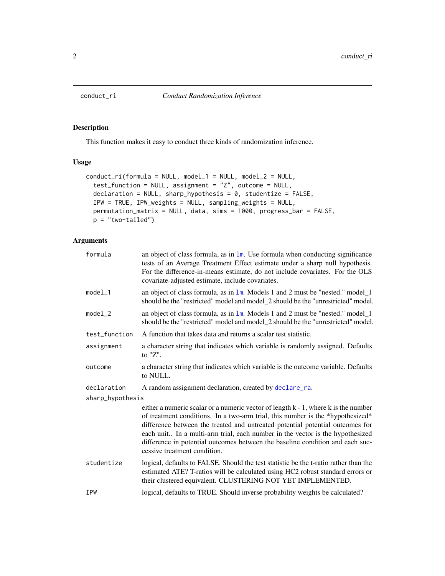<span id="page-1-0"></span>

#### Description

This function makes it easy to conduct three kinds of randomization inference.

#### Usage

```
conduct_ri(formula = NULL, model_1 = NULL, model_2 = NULL,
  test_function = NULL, assignment = "Z", outcome = NULL,
  declaration = NULL, sharp_hypothesis = 0, studentize = FALSE,
  IPW = TRUE, IPW_weights = NULL, sampling_weights = NULL,
 permutation_matrix = NULL, data, sims = 1000, progress_bar = FALSE,
  p = "two-tailed")
```
#### Arguments

| formula          | an object of class formula, as in $1m$ . Use formula when conducting significance<br>tests of an Average Treatment Effect estimate under a sharp null hypothesis.<br>For the difference-in-means estimate, do not include covariates. For the OLS<br>covariate-adjusted estimate, include covariates.                                                                                                                                                   |
|------------------|---------------------------------------------------------------------------------------------------------------------------------------------------------------------------------------------------------------------------------------------------------------------------------------------------------------------------------------------------------------------------------------------------------------------------------------------------------|
| $model_1$        | an object of class formula, as in $1m$ . Models 1 and 2 must be "nested." model_1<br>should be the "restricted" model and model_2 should be the "unrestricted" model.                                                                                                                                                                                                                                                                                   |
| $model_2$        | an object of class formula, as in $\text{1m}$ . Models 1 and 2 must be "nested." model $\text{1}$<br>should be the "restricted" model and model_2 should be the "unrestricted" model.                                                                                                                                                                                                                                                                   |
| test_function    | A function that takes data and returns a scalar test statistic.                                                                                                                                                                                                                                                                                                                                                                                         |
| assignment       | a character string that indicates which variable is randomly assigned. Defaults<br>to $"Z"$ .                                                                                                                                                                                                                                                                                                                                                           |
| outcome          | a character string that indicates which variable is the outcome variable. Defaults<br>to NULL.                                                                                                                                                                                                                                                                                                                                                          |
| declaration      | A random assignment declaration, created by declare_ra.                                                                                                                                                                                                                                                                                                                                                                                                 |
| sharp_hypothesis |                                                                                                                                                                                                                                                                                                                                                                                                                                                         |
|                  | either a numeric scalar or a numeric vector of length k - 1, where k is the number<br>of treatment conditions. In a two-arm trial, this number is the *hypothesized*<br>difference between the treated and untreated potential potential outcomes for<br>each unit In a multi-arm trial, each number in the vector is the hypothesized<br>difference in potential outcomes between the baseline condition and each suc-<br>cessive treatment condition. |
| studentize       | logical, defaults to FALSE. Should the test statistic be the t-ratio rather than the<br>estimated ATE? T-ratios will be calculated using HC2 robust standard errors or<br>their clustered equivalent. CLUSTERING NOT YET IMPLEMENTED.                                                                                                                                                                                                                   |
| <b>IPW</b>       | logical, defaults to TRUE. Should inverse probability weights be calculated?                                                                                                                                                                                                                                                                                                                                                                            |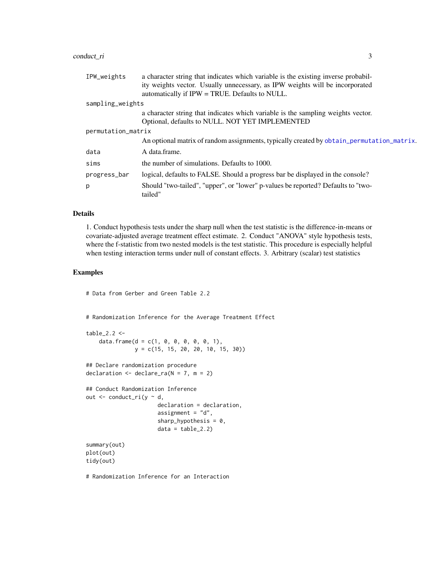#### <span id="page-2-0"></span>conduct\_ri 3

| IPW_weights        | a character string that indicates which variable is the existing inverse probabil-<br>ity weights vector. Usually unnecessary, as IPW weights will be incorporated |
|--------------------|--------------------------------------------------------------------------------------------------------------------------------------------------------------------|
|                    | automatically if IPW = TRUE. Defaults to NULL.                                                                                                                     |
| sampling_weights   |                                                                                                                                                                    |
|                    | a character string that indicates which variable is the sampling weights vector.                                                                                   |
|                    | Optional, defaults to NULL. NOT YET IMPLEMENTED                                                                                                                    |
| permutation_matrix |                                                                                                                                                                    |
|                    | An optional matrix of random assignments, typically created by obtain_permutation_matrix.                                                                          |
| data               | A data.frame.                                                                                                                                                      |
| sims               | the number of simulations. Defaults to 1000.                                                                                                                       |
| progress_bar       | logical, defaults to FALSE. Should a progress bar be displayed in the console?                                                                                     |
| p                  | Should "two-tailed", "upper", or "lower" p-values be reported? Defaults to "two-<br>tailed"                                                                        |

#### Details

1. Conduct hypothesis tests under the sharp null when the test statistic is the difference-in-means or covariate-adjusted average treatment effect estimate. 2. Conduct "ANOVA" style hypothesis tests, where the f-statistic from two nested models is the test statistic. This procedure is especially helpful when testing interaction terms under null of constant effects. 3. Arbitrary (scalar) test statistics

#### Examples

# Data from Gerber and Green Table 2.2

# Randomization Inference for the Average Treatment Effect

```
table_2.2 < -data.frame(d = c(1, 0, 0, 0, 0, 0, 1),
              y = c(15, 15, 20, 20, 10, 15, 30))
```

```
## Declare randomization procedure
declaration \leq declare_ra(N = 7, m = 2)
```

```
## Conduct Randomization Inference
out \leq conduct_ri(y \sim d,
                      declaration = declaration,
                      assignment = "d",sharp_hypothesis = 0,
```

```
data = table_2.2)
```

```
summary(out)
plot(out)
tidy(out)
```
# Randomization Inference for an Interaction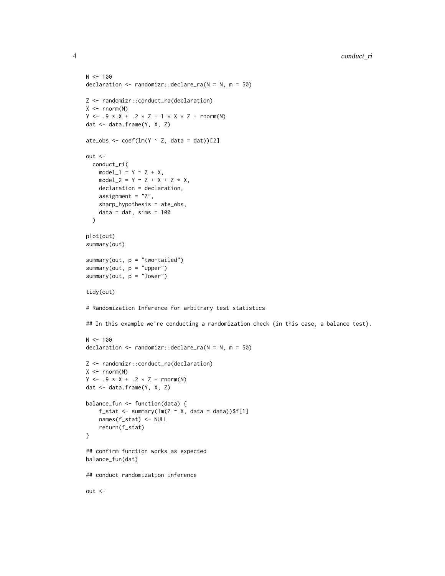```
N < - 100declaration \leq randomizr::declare_ra(N = N, m = 50)
Z <- randomizr::conduct_ra(declaration)
X \leftarrow \text{norm}(N)Y \le -0.9 \times X + 0.2 \times Z + 1 \times X \times Z + \text{rnorm}(N)dat <- data.frame(Y, X, Z)
ate_obs <- \text{coef}(\text{lm}(Y \sim Z, \text{ data = dat}))[2]out <-
  conduct_ri(
    model_1 = Y \sim Z + X,
    model_2 = Y \sim Z + X + Z \times X,
    declaration = declaration,
    assignment = "Z",
    sharp_hypothesis = ate_obs,
    data = dat, sims = 100\mathcal{L}plot(out)
summary(out)
summary(out, p = "two-tailed")
summary(out, p = "upper")
summary(out, p = "lower")tidy(out)
# Randomization Inference for arbitrary test statistics
## In this example we're conducting a randomization check (in this case, a balance test).
N < - 100declaration \leq randomizr::declare_ra(N = N, m = 50)
Z <- randomizr::conduct_ra(declaration)
X \leftarrow \text{norm}(N)Y \le -0.9 \times X + 0.2 \times Z + \text{rnorm}(N)dat <- data.frame(Y, X, Z)
balance_fun <- function(data) {
    f_stat <- summary(lm(Z \sim X, data = data))$f[1]
    names(f_stat) <- NULL
    return(f_stat)
}
## confirm function works as expected
balance_fun(dat)
## conduct randomization inference
out <-
```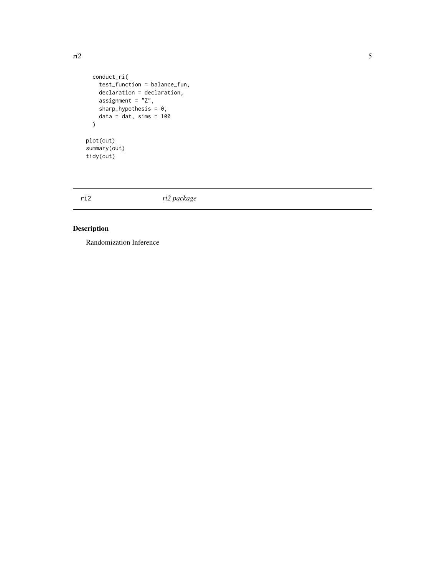```
conduct_ri(
    test_function = balance_fun,
    declaration = declaration,
    assignment = "Z",sharp_hypothesis = 0,
    data = dat, sims = 100\mathcal{L}plot(out)
summary(out)
tidy(out)
```
ri2 *ri2 package*

#### Description

Randomization Inference